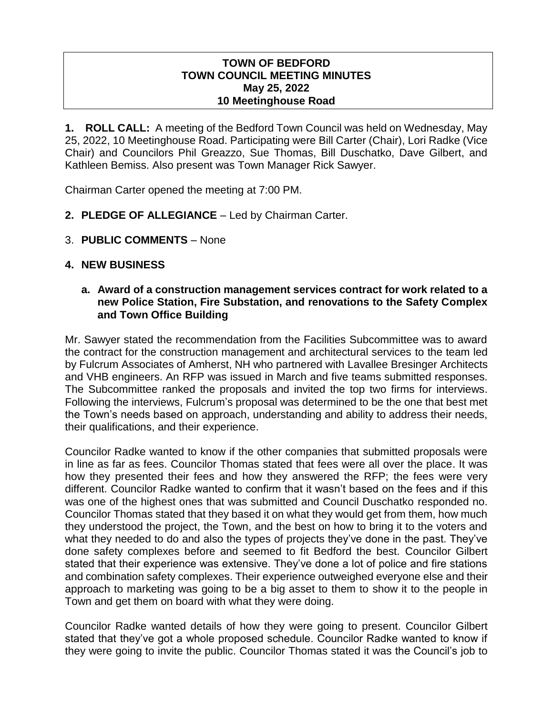### **TOWN OF BEDFORD TOWN COUNCIL MEETING MINUTES May 25, 2022 10 Meetinghouse Road**

**1. ROLL CALL:** A meeting of the Bedford Town Council was held on Wednesday, May 25, 2022, 10 Meetinghouse Road. Participating were Bill Carter (Chair), Lori Radke (Vice Chair) and Councilors Phil Greazzo, Sue Thomas, Bill Duschatko, Dave Gilbert, and Kathleen Bemiss. Also present was Town Manager Rick Sawyer.

Chairman Carter opened the meeting at 7:00 PM.

- **2. PLEDGE OF ALLEGIANCE**  Led by Chairman Carter.
- 3. **PUBLIC COMMENTS** None

# **4. NEW BUSINESS**

#### **a. Award of a construction management services contract for work related to a new Police Station, Fire Substation, and renovations to the Safety Complex and Town Office Building**

Mr. Sawyer stated the recommendation from the Facilities Subcommittee was to award the contract for the construction management and architectural services to the team led by Fulcrum Associates of Amherst, NH who partnered with Lavallee Bresinger Architects and VHB engineers. An RFP was issued in March and five teams submitted responses. The Subcommittee ranked the proposals and invited the top two firms for interviews. Following the interviews, Fulcrum's proposal was determined to be the one that best met the Town's needs based on approach, understanding and ability to address their needs, their qualifications, and their experience.

Councilor Radke wanted to know if the other companies that submitted proposals were in line as far as fees. Councilor Thomas stated that fees were all over the place. It was how they presented their fees and how they answered the RFP; the fees were very different. Councilor Radke wanted to confirm that it wasn't based on the fees and if this was one of the highest ones that was submitted and Council Duschatko responded no. Councilor Thomas stated that they based it on what they would get from them, how much they understood the project, the Town, and the best on how to bring it to the voters and what they needed to do and also the types of projects they've done in the past. They've done safety complexes before and seemed to fit Bedford the best. Councilor Gilbert stated that their experience was extensive. They've done a lot of police and fire stations and combination safety complexes. Their experience outweighed everyone else and their approach to marketing was going to be a big asset to them to show it to the people in Town and get them on board with what they were doing.

Councilor Radke wanted details of how they were going to present. Councilor Gilbert stated that they've got a whole proposed schedule. Councilor Radke wanted to know if they were going to invite the public. Councilor Thomas stated it was the Council's job to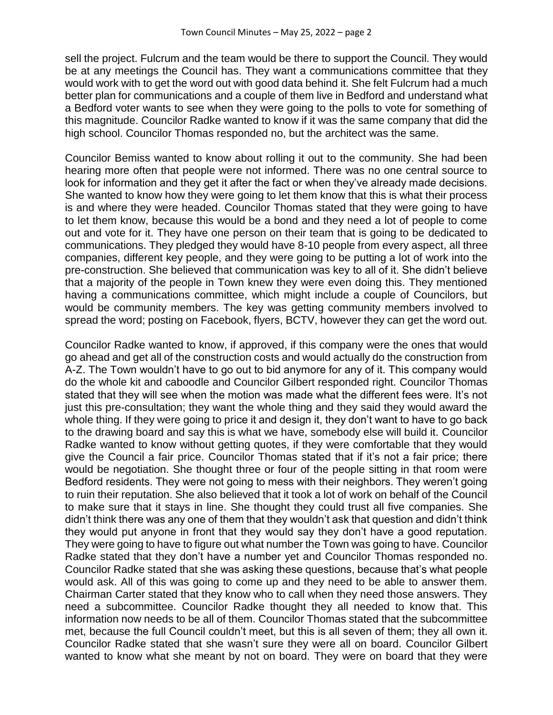sell the project. Fulcrum and the team would be there to support the Council. They would be at any meetings the Council has. They want a communications committee that they would work with to get the word out with good data behind it. She felt Fulcrum had a much better plan for communications and a couple of them live in Bedford and understand what a Bedford voter wants to see when they were going to the polls to vote for something of this magnitude. Councilor Radke wanted to know if it was the same company that did the high school. Councilor Thomas responded no, but the architect was the same.

Councilor Bemiss wanted to know about rolling it out to the community. She had been hearing more often that people were not informed. There was no one central source to look for information and they get it after the fact or when they've already made decisions. She wanted to know how they were going to let them know that this is what their process is and where they were headed. Councilor Thomas stated that they were going to have to let them know, because this would be a bond and they need a lot of people to come out and vote for it. They have one person on their team that is going to be dedicated to communications. They pledged they would have 8-10 people from every aspect, all three companies, different key people, and they were going to be putting a lot of work into the pre-construction. She believed that communication was key to all of it. She didn't believe that a majority of the people in Town knew they were even doing this. They mentioned having a communications committee, which might include a couple of Councilors, but would be community members. The key was getting community members involved to spread the word; posting on Facebook, flyers, BCTV, however they can get the word out.

Councilor Radke wanted to know, if approved, if this company were the ones that would go ahead and get all of the construction costs and would actually do the construction from A-Z. The Town wouldn't have to go out to bid anymore for any of it. This company would do the whole kit and caboodle and Councilor Gilbert responded right. Councilor Thomas stated that they will see when the motion was made what the different fees were. It's not just this pre-consultation; they want the whole thing and they said they would award the whole thing. If they were going to price it and design it, they don't want to have to go back to the drawing board and say this is what we have, somebody else will build it. Councilor Radke wanted to know without getting quotes, if they were comfortable that they would give the Council a fair price. Councilor Thomas stated that if it's not a fair price; there would be negotiation. She thought three or four of the people sitting in that room were Bedford residents. They were not going to mess with their neighbors. They weren't going to ruin their reputation. She also believed that it took a lot of work on behalf of the Council to make sure that it stays in line. She thought they could trust all five companies. She didn't think there was any one of them that they wouldn't ask that question and didn't think they would put anyone in front that they would say they don't have a good reputation. They were going to have to figure out what number the Town was going to have. Councilor Radke stated that they don't have a number yet and Councilor Thomas responded no. Councilor Radke stated that she was asking these questions, because that's what people would ask. All of this was going to come up and they need to be able to answer them. Chairman Carter stated that they know who to call when they need those answers. They need a subcommittee. Councilor Radke thought they all needed to know that. This information now needs to be all of them. Councilor Thomas stated that the subcommittee met, because the full Council couldn't meet, but this is all seven of them; they all own it. Councilor Radke stated that she wasn't sure they were all on board. Councilor Gilbert wanted to know what she meant by not on board. They were on board that they were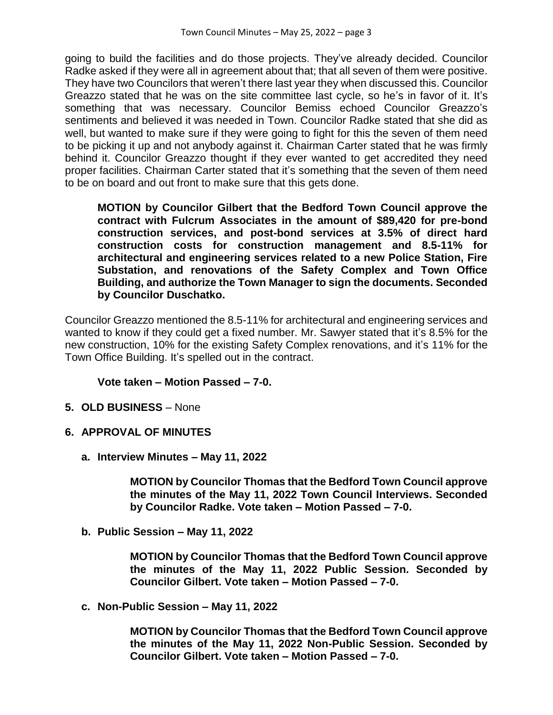going to build the facilities and do those projects. They've already decided. Councilor Radke asked if they were all in agreement about that; that all seven of them were positive. They have two Councilors that weren't there last year they when discussed this. Councilor Greazzo stated that he was on the site committee last cycle, so he's in favor of it. It's something that was necessary. Councilor Bemiss echoed Councilor Greazzo's sentiments and believed it was needed in Town. Councilor Radke stated that she did as well, but wanted to make sure if they were going to fight for this the seven of them need to be picking it up and not anybody against it. Chairman Carter stated that he was firmly behind it. Councilor Greazzo thought if they ever wanted to get accredited they need proper facilities. Chairman Carter stated that it's something that the seven of them need to be on board and out front to make sure that this gets done.

**MOTION by Councilor Gilbert that the Bedford Town Council approve the contract with Fulcrum Associates in the amount of \$89,420 for pre-bond construction services, and post-bond services at 3.5% of direct hard construction costs for construction management and 8.5-11% for architectural and engineering services related to a new Police Station, Fire Substation, and renovations of the Safety Complex and Town Office Building, and authorize the Town Manager to sign the documents. Seconded by Councilor Duschatko.** 

Councilor Greazzo mentioned the 8.5-11% for architectural and engineering services and wanted to know if they could get a fixed number. Mr. Sawyer stated that it's 8.5% for the new construction, 10% for the existing Safety Complex renovations, and it's 11% for the Town Office Building. It's spelled out in the contract.

### **Vote taken – Motion Passed – 7-0.**

- **5. OLD BUSINESS** None
- **6. APPROVAL OF MINUTES**
	- **a. Interview Minutes – May 11, 2022**

**MOTION by Councilor Thomas that the Bedford Town Council approve the minutes of the May 11, 2022 Town Council Interviews. Seconded by Councilor Radke. Vote taken – Motion Passed – 7-0.**

**b. Public Session – May 11, 2022**

**MOTION by Councilor Thomas that the Bedford Town Council approve the minutes of the May 11, 2022 Public Session. Seconded by Councilor Gilbert. Vote taken – Motion Passed – 7-0.**

**c. Non-Public Session – May 11, 2022**

**MOTION by Councilor Thomas that the Bedford Town Council approve the minutes of the May 11, 2022 Non-Public Session. Seconded by Councilor Gilbert. Vote taken – Motion Passed – 7-0.**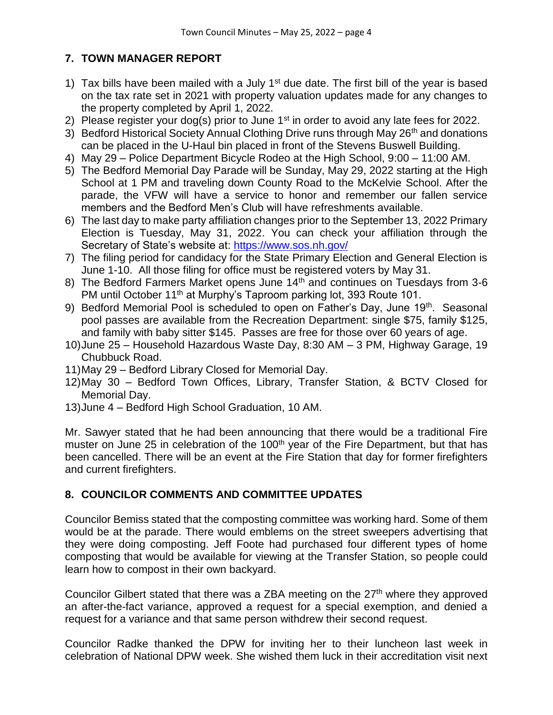## **7. TOWN MANAGER REPORT**

- 1) Tax bills have been mailed with a July  $1<sup>st</sup>$  due date. The first bill of the year is based on the tax rate set in 2021 with property valuation updates made for any changes to the property completed by April 1, 2022.
- 2) Please register your dog(s) prior to June  $1<sup>st</sup>$  in order to avoid any late fees for 2022.
- 3) Bedford Historical Society Annual Clothing Drive runs through May 26<sup>th</sup> and donations can be placed in the U-Haul bin placed in front of the Stevens Buswell Building.
- 4) May 29 Police Department Bicycle Rodeo at the High School, 9:00 11:00 AM.
- 5) The Bedford Memorial Day Parade will be Sunday, May 29, 2022 starting at the High School at 1 PM and traveling down County Road to the McKelvie School. After the parade, the VFW will have a service to honor and remember our fallen service members and the Bedford Men's Club will have refreshments available.
- 6) The last day to make party affiliation changes prior to the September 13, 2022 Primary Election is Tuesday, May 31, 2022. You can check your affiliation through the Secretary of State's website at:<https://www.sos.nh.gov/>
- 7) The filing period for candidacy for the State Primary Election and General Election is June 1-10. All those filing for office must be registered voters by May 31.
- 8) The Bedford Farmers Market opens June 14<sup>th</sup> and continues on Tuesdays from 3-6 PM until October 11<sup>th</sup> at Murphy's Taproom parking lot, 393 Route 101.
- 9) Bedford Memorial Pool is scheduled to open on Father's Day, June 19<sup>th</sup>. Seasonal pool passes are available from the Recreation Department: single \$75, family \$125, and family with baby sitter \$145. Passes are free for those over 60 years of age.
- 10)June 25 Household Hazardous Waste Day, 8:30 AM 3 PM, Highway Garage, 19 Chubbuck Road.
- 11)May 29 Bedford Library Closed for Memorial Day.
- 12)May 30 Bedford Town Offices, Library, Transfer Station, & BCTV Closed for Memorial Day.
- 13)June 4 Bedford High School Graduation, 10 AM.

Mr. Sawyer stated that he had been announcing that there would be a traditional Fire muster on June 25 in celebration of the 100<sup>th</sup> year of the Fire Department, but that has been cancelled. There will be an event at the Fire Station that day for former firefighters and current firefighters.

## **8. COUNCILOR COMMENTS AND COMMITTEE UPDATES**

Councilor Bemiss stated that the composting committee was working hard. Some of them would be at the parade. There would emblems on the street sweepers advertising that they were doing composting. Jeff Foote had purchased four different types of home composting that would be available for viewing at the Transfer Station, so people could learn how to compost in their own backyard.

Councilor Gilbert stated that there was a ZBA meeting on the 27<sup>th</sup> where they approved an after-the-fact variance, approved a request for a special exemption, and denied a request for a variance and that same person withdrew their second request.

Councilor Radke thanked the DPW for inviting her to their luncheon last week in celebration of National DPW week. She wished them luck in their accreditation visit next